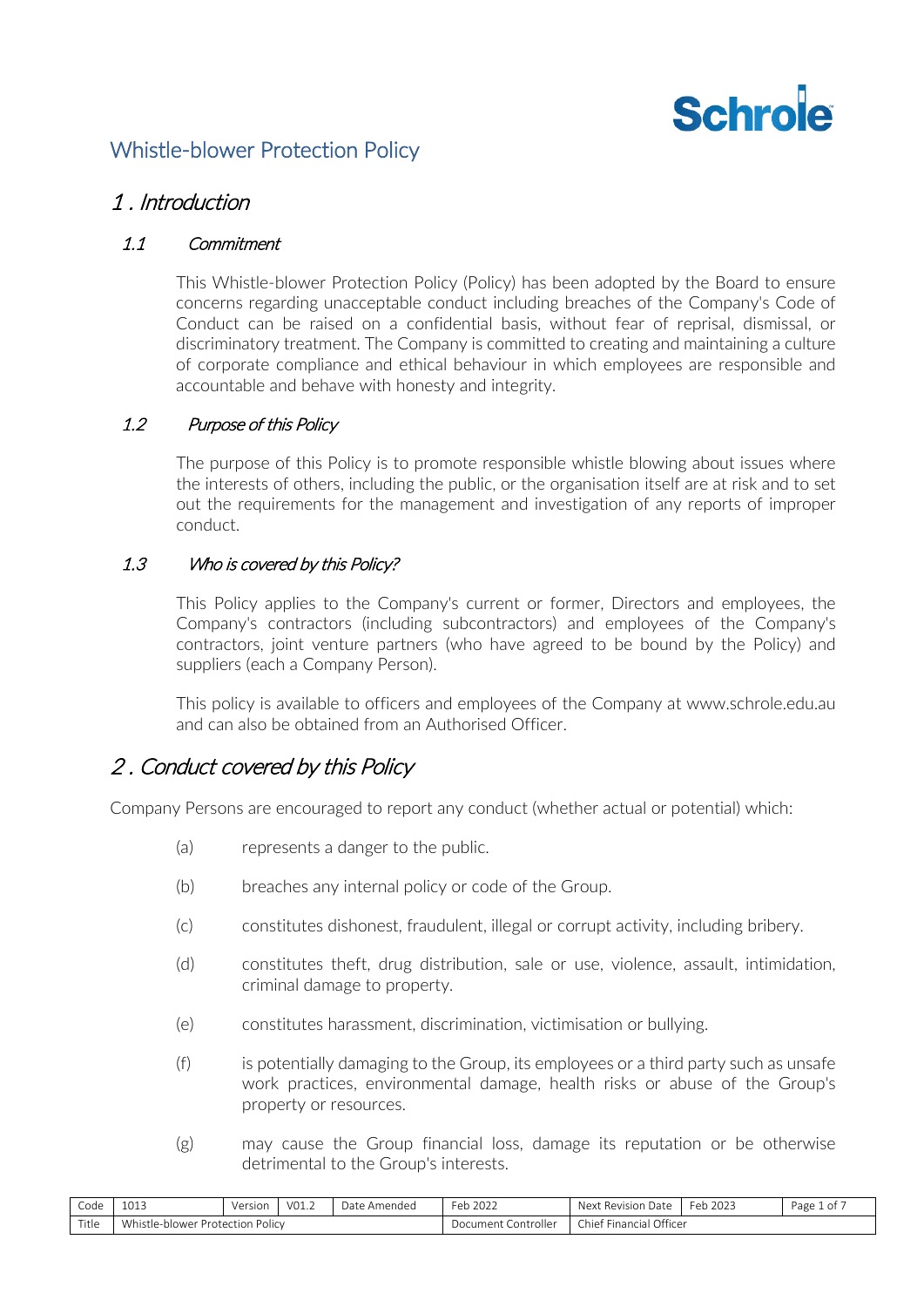

# Whistle-blower Protection Policy

### 1 . Introduction

### 1.1 Commitment

This Whistle-blower Protection Policy (Policy) has been adopted by the Board to ensure concerns regarding unacceptable conduct including breaches of the Company's Code of Conduct can be raised on a confidential basis, without fear of reprisal, dismissal, or discriminatory treatment. The Company is committed to creating and maintaining a culture of corporate compliance and ethical behaviour in which employees are responsible and accountable and behave with honesty and integrity.

### 1.2 Purpose of this Policy

The purpose of this Policy is to promote responsible whistle blowing about issues where the interests of others, including the public, or the organisation itself are at risk and to set out the requirements for the management and investigation of any reports of improper conduct.

### 1.3 Who is covered by this Policy?

This Policy applies to the Company's current or former, Directors and employees, the Company's contractors (including subcontractors) and employees of the Company's contractors, joint venture partners (who have agreed to be bound by the Policy) and suppliers (each a Company Person).

This policy is available to officers and employees of the Company at www.schrole.edu.au and can also be obtained from an Authorised Officer.

# 2 . Conduct covered by this Policy

Company Persons are encouraged to report any conduct (whether actual or potential) which:

- (a) represents a danger to the public.
- (b) breaches any internal policy or code of the Group.
- (c) constitutes dishonest, fraudulent, illegal or corrupt activity, including bribery.
- (d) constitutes theft, drug distribution, sale or use, violence, assault, intimidation, criminal damage to property.
- (e) constitutes harassment, discrimination, victimisation or bullying.
- (f) is potentially damaging to the Group, its employees or a third party such as unsafe work practices, environmental damage, health risks or abuse of the Group's property or resources.
- (g) may cause the Group financial loss, damage its reputation or be otherwise detrimental to the Group's interests.

| Code  | 0.12<br>⊥∪⊥≂        | Version                 | VO1.2 | <i>D</i> ate<br>e Amended | $\sim$ $\sim$ $\sim$<br>™eb<br>2022 | Next<br>Date<br>Revision                                | $\sim$<br>2023<br>Feh<br>$\mathbf{L}$ . $\mathbf{L}$ | Page<br>1 of |
|-------|---------------------|-------------------------|-------|---------------------------|-------------------------------------|---------------------------------------------------------|------------------------------------------------------|--------------|
| Title | Vhistle-<br>ulower. | Policy<br>. Protection. |       |                           | Controller<br>Document (            | Officer<br>Chief<br>$\sim$ $-$<br>Financia <sub>r</sub> |                                                      |              |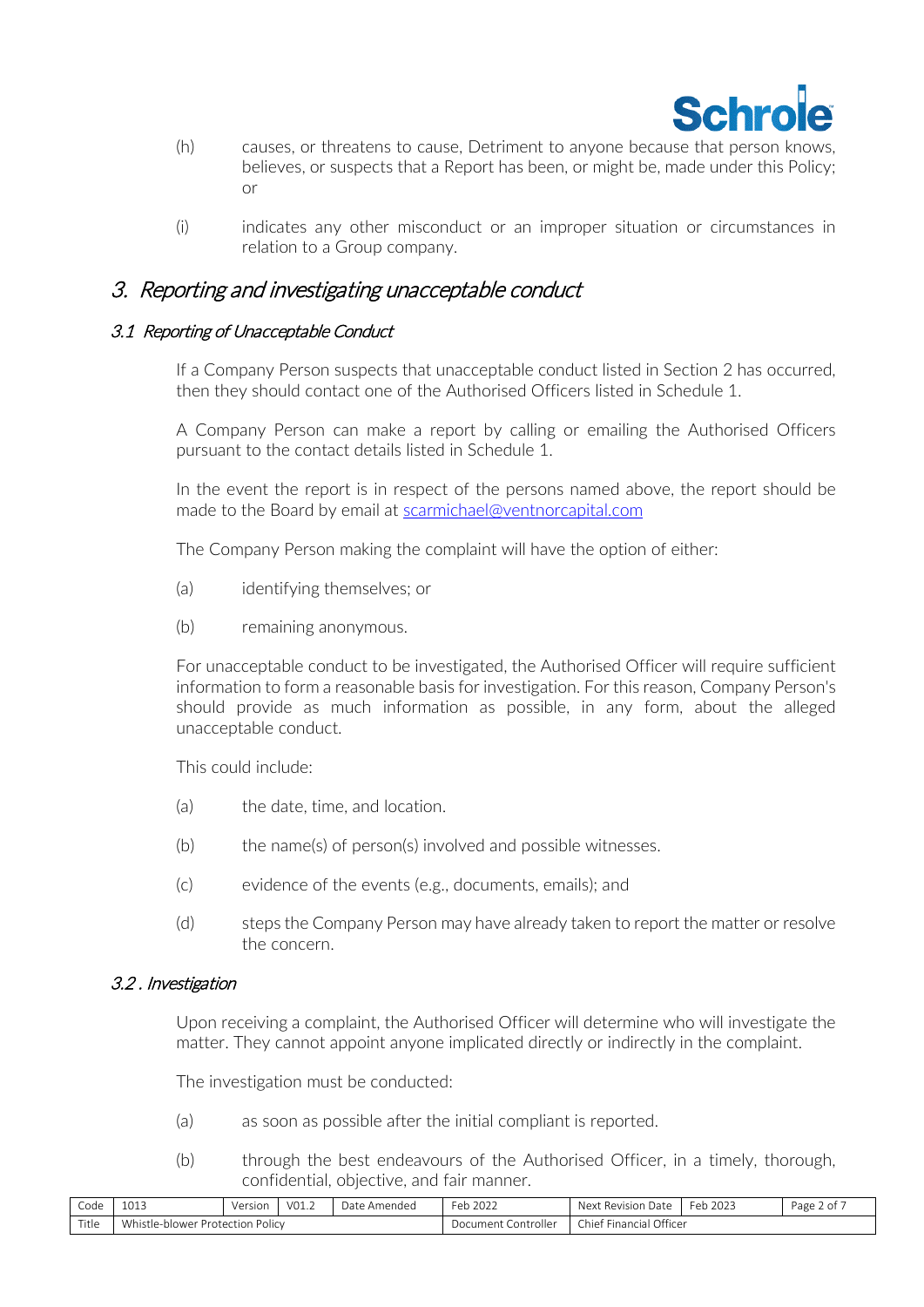

- (h) causes, or threatens to cause, Detriment to anyone because that person knows, believes, or suspects that a Report has been, or might be, made under this Policy; or
- (i) indicates any other misconduct or an improper situation or circumstances in relation to a Group company.

## 3. Reporting and investigating unacceptable conduct

### 3.1 Reporting of Unacceptable Conduct

If a Company Person suspects that unacceptable conduct listed in Section 2 has occurred, then they should contact one of the Authorised Officers listed in [Schedule](#page-6-0) 1.

A Company Person can make a report by calling or emailing the Authorised Officers pursuant to the contact details listed in [Schedule](#page-6-0) 1.

In the event the report is in respect of the persons named above, the report should be made to the Board by email at [scarmichael@ventnorcapital.com](mailto:scarmichael@ventnorcapital.com)

The Company Person making the complaint will have the option of either:

- (a) identifying themselves; or
- (b) remaining anonymous.

For unacceptable conduct to be investigated, the Authorised Officer will require sufficient information to form a reasonable basis for investigation. For this reason, Company Person's should provide as much information as possible, in any form, about the alleged unacceptable conduct.

This could include:

- (a) the date, time, and location.
- (b) the name(s) of person(s) involved and possible witnesses.
- (c) evidence of the events (e.g., documents, emails); and
- (d) steps the Company Person may have already taken to report the matter or resolve the concern.

### 3.2 . Investigation

Upon receiving a complaint, the Authorised Officer will determine who will investigate the matter. They cannot appoint anyone implicated directly or indirectly in the complaint.

The investigation must be conducted:

- (a) as soon as possible after the initial compliant is reported.
- (b) through the best endeavours of the Authorised Officer, in a timely, thorough, confidential, objective, and fair manner.

| -<br>Code | $\sim$ $\sim$ $\sim$<br>ᆂᇦᆂᆓ | ersion                             | $\sqrt{2}$<br>$\cup$ $\bot$ $\cdot$ $\angle$ | .)atr<br>Amended | -<br>$\sim$ $\sim$ $\sim$<br>⊬ہ⊣<br>LUZ.<br>$\mathbf{L} \cdot \mathbf{L}$ | Nev <sup>.</sup><br>Rev<br>sion<br>-Udl                              | 2023<br>-er<br>$\mathbf{L}$ | -<br>Page |  |
|-----------|------------------------------|------------------------------------|----------------------------------------------|------------------|---------------------------------------------------------------------------|----------------------------------------------------------------------|-----------------------------|-----------|--|
| Title     | whistle-h<br>-blower         | $1 - 1 - 2$<br>Protection<br>'ΟΠΟΙ |                                              |                  | Controller<br>.cument.<br>റസ                                              | $\bigcap$<br>- 1<br>chie <sup>+</sup><br>Linancial<br><b>Officer</b> |                             |           |  |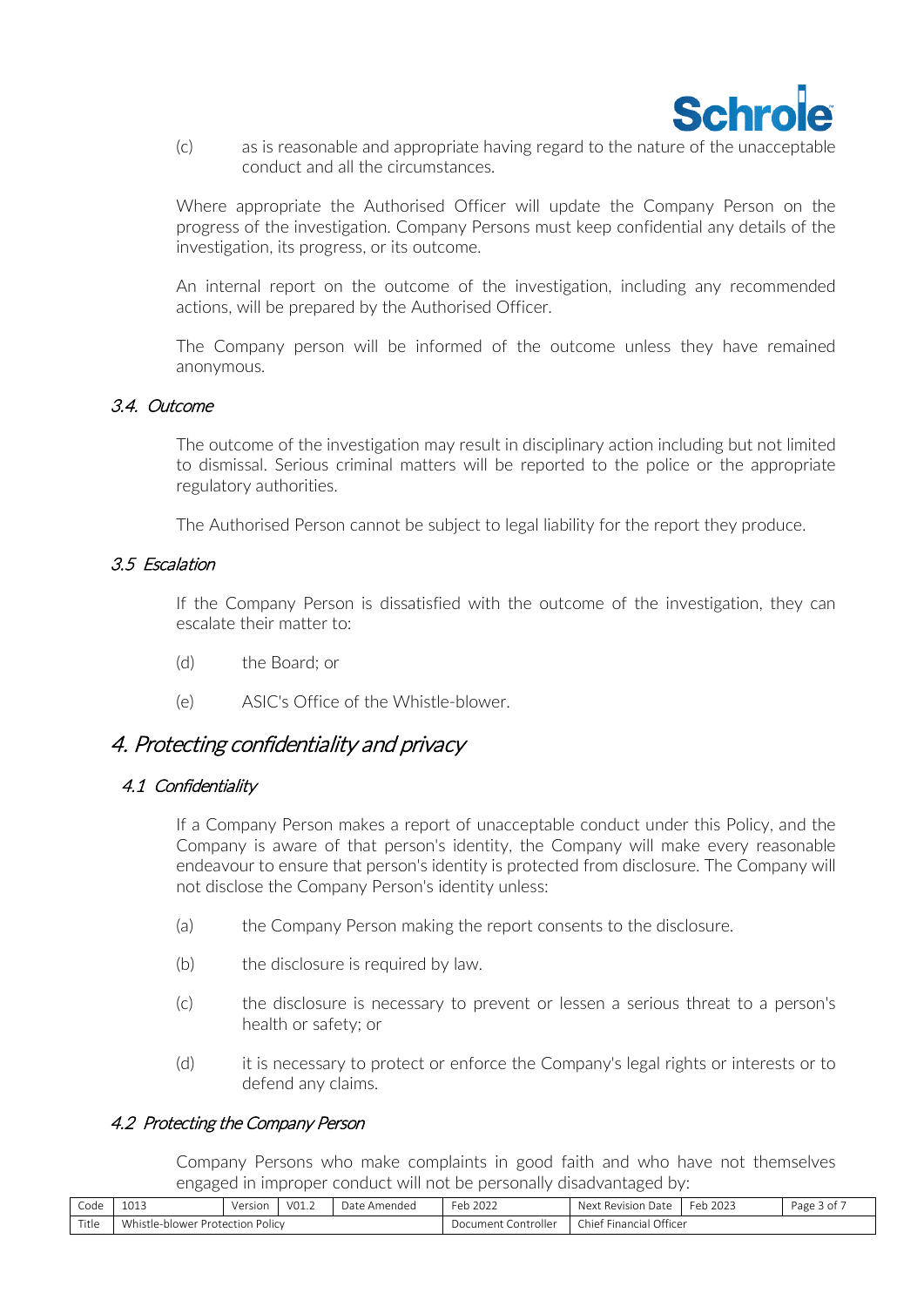

(c) as is reasonable and appropriate having regard to the nature of the unacceptable conduct and all the circumstances.

Where appropriate the Authorised Officer will update the Company Person on the progress of the investigation. Company Persons must keep confidential any details of the investigation, its progress, or its outcome.

An internal report on the outcome of the investigation, including any recommended actions, will be prepared by the Authorised Officer.

The Company person will be informed of the outcome unless they have remained anonymous.

#### 3.4. Outcome

The outcome of the investigation may result in disciplinary action including but not limited to dismissal. Serious criminal matters will be reported to the police or the appropriate regulatory authorities.

The Authorised Person cannot be subject to legal liability for the report they produce.

#### 3.5 Escalation

If the Company Person is dissatisfied with the outcome of the investigation, they can escalate their matter to:

- (d) the Board; or
- (e) ASIC's Office of the Whistle-blower.

### 4. Protecting confidentiality and privacy

#### 4.1 Confidentiality

If a Company Person makes a report of unacceptable conduct under this Policy, and the Company is aware of that person's identity, the Company will make every reasonable endeavour to ensure that person's identity is protected from disclosure. The Company will not disclose the Company Person's identity unless:

- (a) the Company Person making the report consents to the disclosure.
- (b) the disclosure is required by law.
- (c) the disclosure is necessary to prevent or lessen a serious threat to a person's health or safety; or
- (d) it is necessary to protect or enforce the Company's legal rights or interests or to defend any claims.

#### 4.2 Protecting the Company Person

Company Persons who make complaints in good faith and who have not themselves engaged in improper conduct will not be personally disadvantaged by:

| Code  | 1012<br>⊥∪⊥       | Version                 | VO1.2 | <i>D</i> ate<br>: Amended | $\sim$ $\sim$ $\sim$ $\sim$<br>-ah<br>2022<br>. LJ | <b>Nex</b><br>Date<br>Revision                                       | $\sim$<br>2023<br>Feh<br>. | Page<br>3 of |
|-------|-------------------|-------------------------|-------|---------------------------|----------------------------------------------------|----------------------------------------------------------------------|----------------------------|--------------|
| Title | Vhistle-<br>lower | POIICV<br>. Protection. |       |                           | Controller<br>Document :                           | Officer<br>$\sim$ $\sim$ $\sim$<br>$\sim$ $-$<br>chiet.<br>Financia. |                            |              |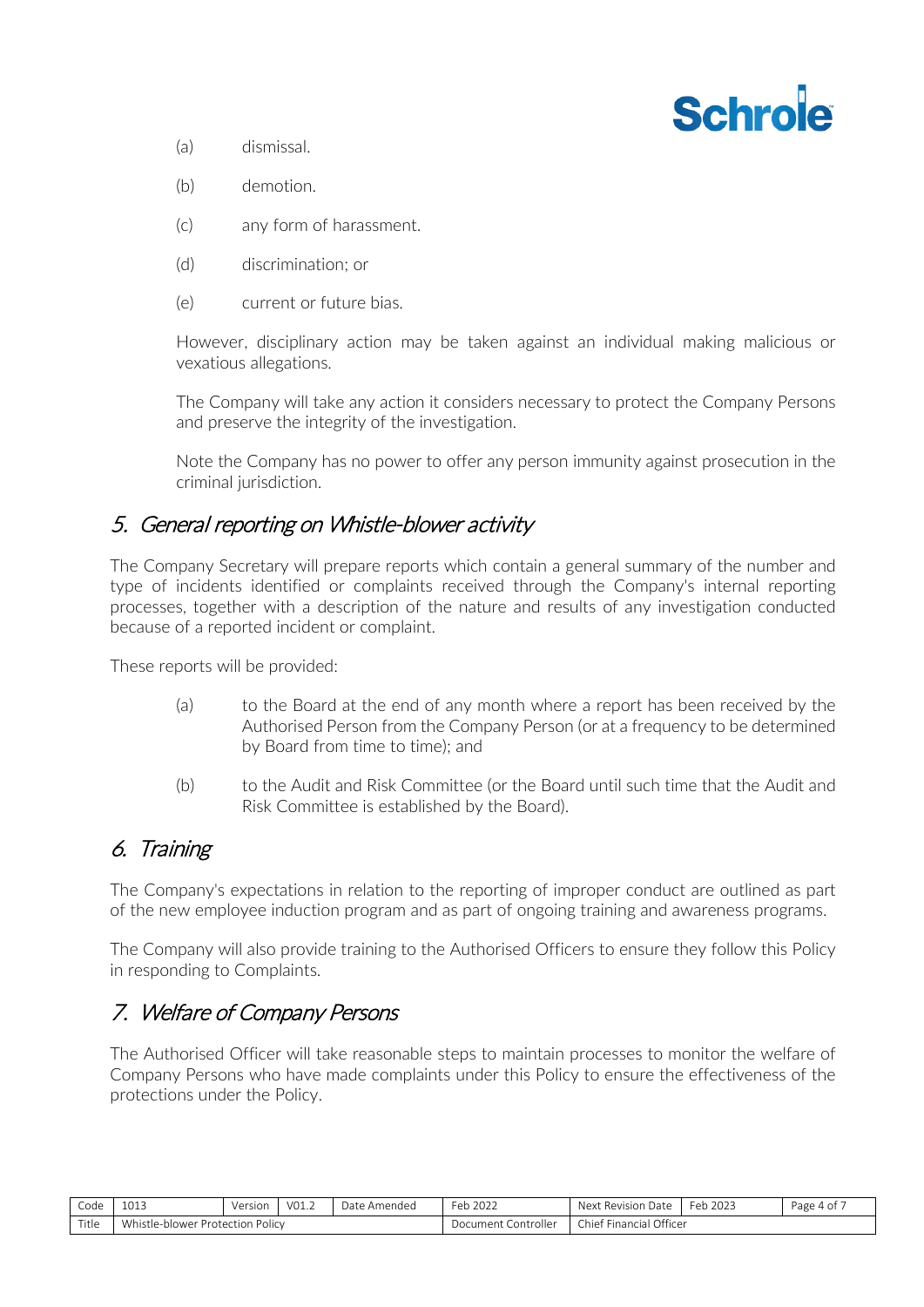

- (a) dismissal.
- (b) demotion.
- (c) any form of harassment.
- (d) discrimination; or
- (e) current or future bias.

However, disciplinary action may be taken against an individual making malicious or vexatious allegations.

The Company will take any action it considers necessary to protect the Company Persons and preserve the integrity of the investigation.

Note the Company has no power to offer any person immunity against prosecution in the criminal jurisdiction.

## 5. General reporting on Whistle-blower activity

The Company Secretary will prepare reports which contain a general summary of the number and type of incidents identified or complaints received through the Company's internal reporting processes, together with a description of the nature and results of any investigation conducted because of a reported incident or complaint.

These reports will be provided:

- (a) to the Board at the end of any month where a report has been received by the Authorised Person from the Company Person (or at a frequency to be determined by Board from time to time); and
- (b) to the Audit and Risk Committee (or the Board until such time that the Audit and Risk Committee is established by the Board).

# 6. Training

The Company's expectations in relation to the reporting of improper conduct are outlined as part of the new employee induction program and as part of ongoing training and awareness programs.

The Company will also provide training to the Authorised Officers to ensure they follow this Policy in responding to Complaints.

# 7. Welfare of Company Persons

The Authorised Officer will take reasonable steps to maintain processes to monitor the welfare of Company Persons who have made complaints under this Policy to ensure the effectiveness of the protections under the Policy.

| Code  | 1013                             | Version | V01.2 | Date Amended | Feb 2022            | Next Revision Date      | Feb 2023 | Page 4 of , |
|-------|----------------------------------|---------|-------|--------------|---------------------|-------------------------|----------|-------------|
| Title | Whistle-blower Protection Policy |         |       |              | Document Controller | Chief Financial Officer |          |             |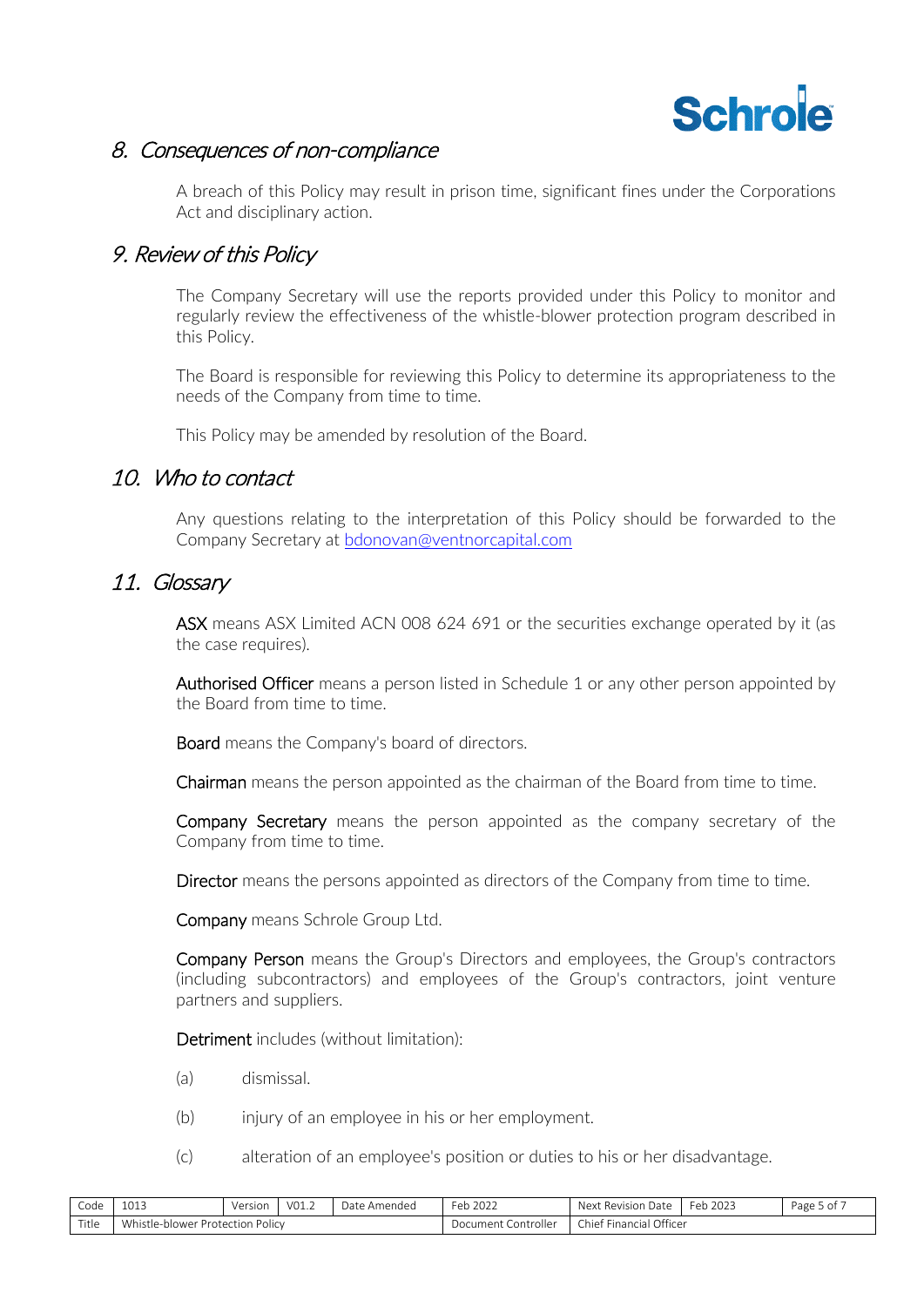

## 8. Consequences of non-compliance

A breach of this Policy may result in prison time, significant fines under the Corporations Act and disciplinary action.

### 9. Review of this Policy

The Company Secretary will use the reports provided under this Policy to monitor and regularly review the effectiveness of the whistle-blower protection program described in this Policy.

The Board is responsible for reviewing this Policy to determine its appropriateness to the needs of the Company from time to time.

This Policy may be amended by resolution of the Board.

## 10. Who to contact

Any questions relating to the interpretation of this Policy should be forwarded to the Company Secretary at [bdonovan@ventnorcapital.com](mailto:bdonovan@ventnorcapital.com)

### 11. Glossary

ASX means ASX Limited ACN 008 624 691 or the securities exchange operated by it (as the case requires).

Authorised Officer means a person listed in [Schedule](#page-6-0) 1 or any other person appointed by the Board from time to time.

Board means the Company's board of directors.

Chairman means the person appointed as the chairman of the Board from time to time.

Company Secretary means the person appointed as the company secretary of the Company from time to time.

Director means the persons appointed as directors of the Company from time to time.

Company means Schrole Group Ltd.

Company Person means the Group's Directors and employees, the Group's contractors (including subcontractors) and employees of the Group's contractors, joint venture partners and suppliers.

Detriment includes (without limitation):

- (a) dismissal.
- (b) injury of an employee in his or her employment.
- (c) alteration of an employee's position or duties to his or her disadvantage.

| Code  | 1013                                | Version       | V01.2 | Date Amended | Feb 2022               | Next<br>: Revision Date    | 2023<br>Feb. | Page 5 of . |
|-------|-------------------------------------|---------------|-------|--------------|------------------------|----------------------------|--------------|-------------|
| Title | `Vhistle-ı.<br>-blower Protection i | <b>Policy</b> |       |              | Controller<br>Document | Financial Officer<br>Chief |              |             |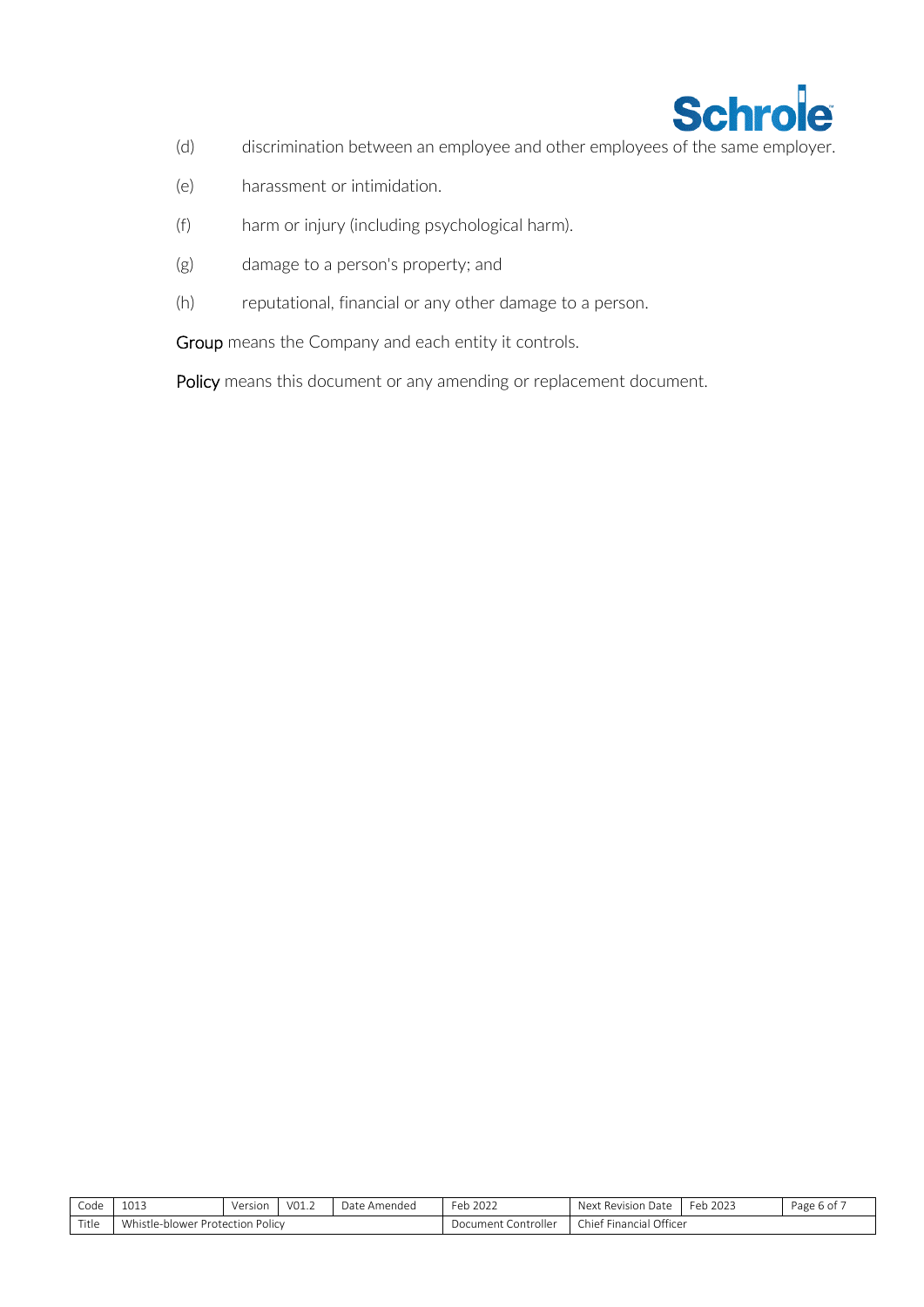

- (d) discrimination between an employee and other employees of the same employer.
- (e) harassment or intimidation.
- (f) harm or injury (including psychological harm).
- (g) damage to a person's property; and
- (h) reputational, financial or any other damage to a person.

Group means the Company and each entity it controls.

Policy means this document or any amending or replacement document.

| Code  | 1012<br>TOT?         | Version                     | VO1.2 | Date<br>? Amended | Feb $2026$               | Next<br>. Revision Date                    | Feb 2023 | Page 6 of . |
|-------|----------------------|-----------------------------|-------|-------------------|--------------------------|--------------------------------------------|----------|-------------|
| Title | Whistle-<br>.-blower | <b>Policy</b><br>Protection |       |                   | Controller<br>Document 1 | . Financial Officer<br>Chief<br>$\sim$ $-$ |          |             |